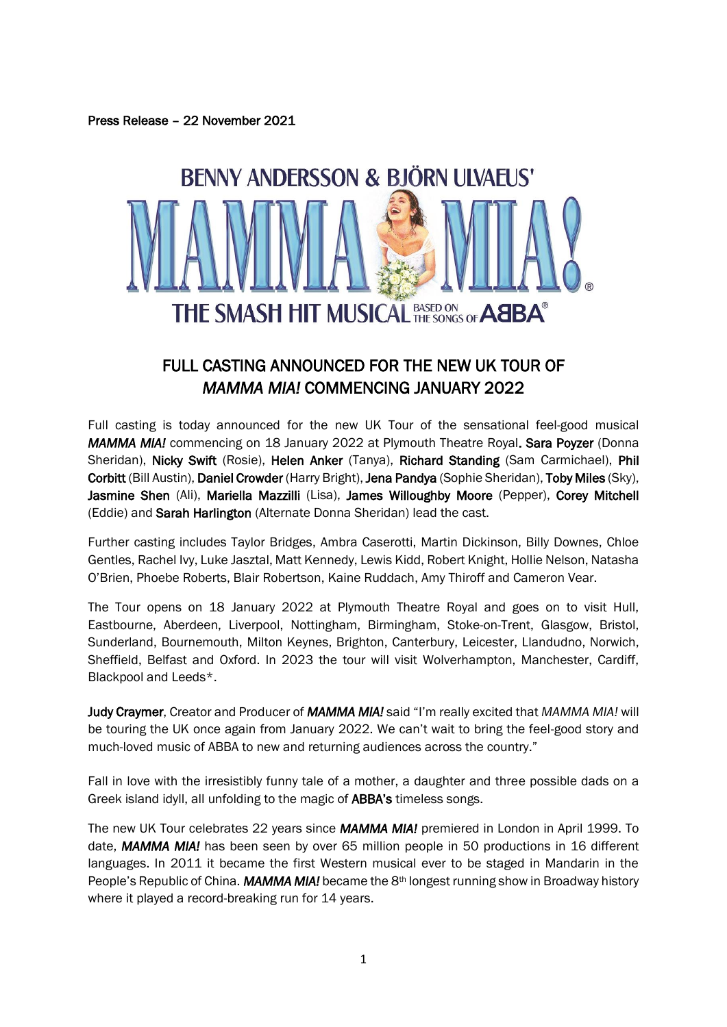Press Release – 22 November 2021



# FULL CASTING ANNOUNCED FOR THE NEW UK TOUR OF *MAMMA MIA!* COMMENCING JANUARY 2022

Full casting is today announced for the new UK Tour of the sensational feel-good musical *MAMMA MIA!* commencing on 18 January 2022 at Plymouth Theatre Royal. Sara Poyzer (Donna Sheridan), Nicky Swift (Rosie), Helen Anker (Tanya), Richard Standing (Sam Carmichael), Phil Corbitt (Bill Austin), Daniel Crowder (Harry Bright), Jena Pandya (Sophie Sheridan), Toby Miles (Sky), Jasmine Shen (Ali), Mariella Mazzilli (Lisa), James Willoughby Moore (Pepper), Corey Mitchell (Eddie) and Sarah Harlington (Alternate Donna Sheridan) lead the cast.

Further casting includes Taylor Bridges, Ambra Caserotti, Martin Dickinson, Billy Downes, Chloe Gentles, Rachel Ivy, Luke Jasztal, Matt Kennedy, Lewis Kidd, Robert Knight, Hollie Nelson, Natasha O'Brien, Phoebe Roberts, Blair Robertson, Kaine Ruddach, Amy Thiroff and Cameron Vear.

The Tour opens on 18 January 2022 at Plymouth Theatre Royal and goes on to visit Hull, Eastbourne, Aberdeen, Liverpool, Nottingham, Birmingham, Stoke-on-Trent, Glasgow, Bristol, Sunderland, Bournemouth, Milton Keynes, Brighton, Canterbury, Leicester, Llandudno, Norwich, Sheffield, Belfast and Oxford. In 2023 the tour will visit Wolverhampton, Manchester, Cardiff, Blackpool and Leeds\*.

Judy Craymer, Creator and Producer of *MAMMA MIA!* said "I'm really excited that *MAMMA MIA!* will be touring the UK once again from January 2022. We can't wait to bring the feel-good story and much-loved music of ABBA to new and returning audiences across the country."

Fall in love with the irresistibly funny tale of a mother, a daughter and three possible dads on a Greek island idyll, all unfolding to the magic of ABBA's timeless songs.

The new UK Tour celebrates 22 years since *MAMMA MIA!* premiered in London in April 1999. To date, *MAMMA MIA!* has been seen by over 65 million people in 50 productions in 16 different languages. In 2011 it became the first Western musical ever to be staged in Mandarin in the People's Republic of China. **MAMMA MIA!** became the 8<sup>th</sup> longest running show in Broadway history where it played a record-breaking run for 14 years.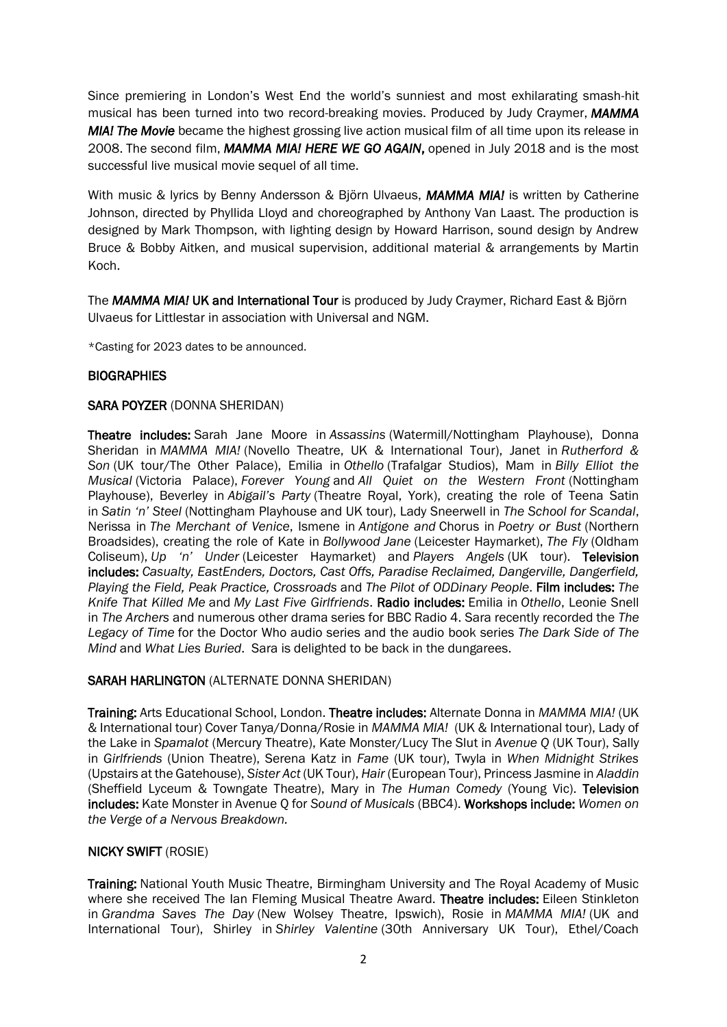Since premiering in London's West End the world's sunniest and most exhilarating smash-hit musical has been turned into two record-breaking movies. Produced by Judy Craymer, *MAMMA MIA! The Movie* became the highest grossing live action musical film of all time upon its release in 2008. The second film, *MAMMA MIA! HERE WE GO AGAIN*, opened in July 2018 and is the most successful live musical movie sequel of all time.

With music & lyrics by Benny Andersson & Björn Ulvaeus, *MAMMA MIA!* is written by Catherine Johnson, directed by Phyllida Lloyd and choreographed by Anthony Van Laast. The production is designed by Mark Thompson, with lighting design by Howard Harrison, sound design by Andrew Bruce & Bobby Aitken, and musical supervision, additional material & arrangements by Martin Koch.

The *MAMMA MIA!* UK and International Tour is produced by Judy Craymer, Richard East & Björn Ulvaeus for Littlestar in association with Universal and NGM.

\*Casting for 2023 dates to be announced.

# **BIOGRAPHIES**

## SARA POYZER (DONNA SHERIDAN)

Theatre includes: Sarah Jane Moore in *Assassins* (Watermill/Nottingham Playhouse), Donna Sheridan in *MAMMA MIA!* (Novello Theatre, UK & International Tour), Janet in *Rutherford & Son* (UK tour/The Other Palace), Emilia in *Othello* (Trafalgar Studios), Mam in *Billy Elliot the Musical* (Victoria Palace), *Forever Young* and *All Quiet on the Western Front* (Nottingham Playhouse), Beverley in *Abigail's Party* (Theatre Royal, York), creating the role of Teena Satin in *Satin 'n' Steel* (Nottingham Playhouse and UK tour), Lady Sneerwell in *The School for Scandal*, Nerissa in *The Merchant of Venice*, Ismene in *Antigone and* Chorus in *Poetry or Bust* (Northern Broadsides), creating the role of Kate in *Bollywood Jane* (Leicester Haymarket), *The Fly* (Oldham Coliseum), *Up 'n' Under* (Leicester Haymarket) and *Players Angels* (UK tour). Television includes: *Casualty, EastEnders, Doctors, Cast Offs, Paradise Reclaimed, Dangerville, Dangerfield, Playing the Field, Peak Practice, Crossroads* and *The Pilot of ODDinary People*. Film includes: *The Knife That Killed Me* and *My Last Five Girlfriends*. Radio includes: Emilia in *Othello*, Leonie Snell in *The Archers* and numerous other drama series for BBC Radio 4. Sara recently recorded the *The Legacy of Time* for the Doctor Who audio series and the audio book series *The Dark Side of The Mind* and *What Lies Buried*. Sara is delighted to be back in the dungarees.

# SARAH HARLINGTON (ALTERNATE DONNA SHERIDAN)

Training: Arts Educational School, London. Theatre includes: Alternate Donna in *MAMMA MIA!* (UK & International tour) Cover Tanya/Donna/Rosie in *MAMMA MIA!* (UK & International tour), Lady of the Lake in *Spamalot* (Mercury Theatre), Kate Monster/Lucy The Slut in *Avenue Q* (UK Tour), Sally in *Girlfriends* (Union Theatre), Serena Katz in *Fame* (UK tour), Twyla in *When Midnight Strikes*  (Upstairs at the Gatehouse), *Sister Act* (UK Tour), *Hair* (European Tour), Princess Jasmine in *Aladdin*  (Sheffield Lyceum & Towngate Theatre), Mary in *The Human Comedy* (Young Vic). Television includes: Kate Monster in Avenue Q for *Sound of Musicals* (BBC4). Workshops include: *Women on the Verge of a Nervous Breakdown.*

# NICKY SWIFT (ROSIE)

Training: National Youth Music Theatre, Birmingham University and The Royal Academy of Music where she received The Ian Fleming Musical Theatre Award. Theatre includes: Eileen Stinkleton in *Grandma Saves The Day* (New Wolsey Theatre, Ipswich), Rosie in *MAMMA MIA!* (UK and International Tour), Shirley in *Shirley Valentine* (30th Anniversary UK Tour), Ethel/Coach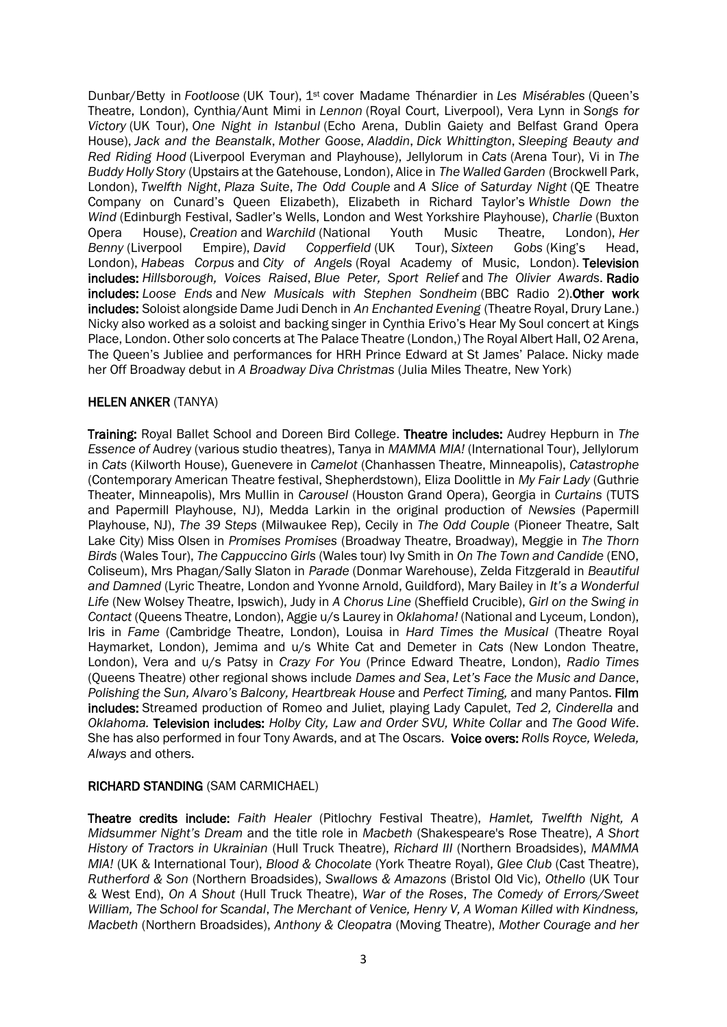Dunbar/Betty in *Footloose* (UK Tour), 1st cover Madame Thénardier in *Les Misérables* (Queen's Theatre, London), Cynthia/Aunt Mimi in *Lennon* (Royal Court, Liverpool), Vera Lynn in *Songs for Victory* (UK Tour), *One Night in Istanbul* (Echo Arena, Dublin Gaiety and Belfast Grand Opera House), *Jack and the Beanstalk*, *Mother Goose*, *Aladdin*, *Dick Whittington*, *Sleeping Beauty and Red Riding Hood* (Liverpool Everyman and Playhouse), Jellylorum in *Cats* (Arena Tour), Vi in *The Buddy Holly Story* (Upstairs at the Gatehouse, London), Alice in *The Walled Garden* (Brockwell Park, London), *Twelfth Night*, *Plaza Suite*, *The Odd Couple* and *A Slice of Saturday Night* (QE Theatre Company on Cunard's Queen Elizabeth), Elizabeth in Richard Taylor's *Whistle Down the Wind* (Edinburgh Festival, Sadler's Wells, London and West Yorkshire Playhouse), *Charlie* (Buxton Opera House), *Creation* and *Warchild* (National Youth Music Theatre, London), *Her Benny* (Liverpool Empire), *David Copperfield* (UK Tour), *Sixteen Gobs* (King's Head, London), *Habeas Corpus* and *City of Angels* (Royal Academy of Music, London). Television includes: *Hillsborough, Voices Raised*, *Blue Peter, Sport Relief* and *The Olivier Awards*. Radio includes: *Loose Ends* and *New Musicals with Stephen Sondheim* (BBC Radio 2).Other work includes: Soloist alongside Dame Judi Dench in *An Enchanted Evening* (Theatre Royal, Drury Lane.) Nicky also worked as a soloist and backing singer in Cynthia Erivo's Hear My Soul concert at Kings Place, London. Other solo concerts at The Palace Theatre (London,) The Royal Albert Hall, O2 Arena, The Queen's Jubliee and performances for HRH Prince Edward at St James' Palace. Nicky made her Off Broadway debut in *A Broadway Diva Christmas* (Julia Miles Theatre, New York)

## HELEN ANKER (TANYA)

Training: Royal Ballet School and Doreen Bird College. Theatre includes: Audrey Hepburn in *The Essence of* Audrey (various studio theatres), Tanya in *MAMMA MIA!* (International Tour), Jellylorum in *Cats* (Kilworth House), Guenevere in *Camelot* (Chanhassen Theatre, Minneapolis), *Catastrophe* (Contemporary American Theatre festival, Shepherdstown), Eliza Doolittle in *My Fair Lady* (Guthrie Theater, Minneapolis), Mrs Mullin in *Carousel* (Houston Grand Opera), Georgia in *Curtains* (TUTS and Papermill Playhouse, NJ), Medda Larkin in the original production of *Newsies* (Papermill Playhouse, NJ), *The 39 Steps* (Milwaukee Rep), Cecily in *The Odd Couple* (Pioneer Theatre, Salt Lake City) Miss Olsen in *Promises Promises* (Broadway Theatre, Broadway), Meggie in *The Thorn Birds* (Wales Tour), *The Cappuccino Girls* (Wales tour) Ivy Smith in *On The Town and Candide* (ENO, Coliseum), Mrs Phagan/Sally Slaton in *Parade* (Donmar Warehouse), Zelda Fitzgerald in *Beautiful and Damned* (Lyric Theatre, London and Yvonne Arnold, Guildford), Mary Bailey in *It's a Wonderful Life* (New Wolsey Theatre, Ipswich), Judy in *A Chorus Line* (Sheffield Crucible), *Girl on the Swing in Contact* (Queens Theatre, London), Aggie u/s Laurey in *Oklahoma!* (National and Lyceum, London), Iris in *Fame* (Cambridge Theatre, London), Louisa in *Hard Times the Musical* (Theatre Royal Haymarket, London), Jemima and u/s White Cat and Demeter in *Cats* (New London Theatre, London), Vera and u/s Patsy in *Crazy For You* (Prince Edward Theatre, London), *Radio Times* (Queens Theatre) other regional shows include *Dames and Sea*, *Let's Face the Music and Dance*, *Polishing the Sun, Alvaro's Balcony, Heartbreak House* and *Perfect Timing,* and many Pantos. Film includes: Streamed production of Romeo and Juliet, playing Lady Capulet, *Ted 2, Cinderella* and *Oklahoma.* Television includes: *Holby City, Law and Order SVU, White Collar* and *The Good Wife*. She has also performed in four Tony Awards, and at The Oscars. Voice overs: *Rolls Royce, Weleda, Always* and others.

# RICHARD STANDING (SAM CARMICHAEL)

Theatre credits include: *Faith Healer* (Pitlochry Festival Theatre), *Hamlet, Twelfth Night, A Midsummer Night's Dream* and the title role in *Macbeth* (Shakespeare's Rose Theatre), *A Short History of Tractors in Ukrainian* (Hull Truck Theatre), *Richard III* (Northern Broadsides), *MAMMA MIA!* (UK & International Tour), *Blood & Chocolate* (York Theatre Royal), *Glee Club* (Cast Theatre), *Rutherford & Son* (Northern Broadsides), *Swallows & Amazons* (Bristol Old Vic), *Othello* (UK Tour & West End), *On A Shout* (Hull Truck Theatre), *War of the Roses*, *The Comedy of Errors/Sweet William, The School for Scandal*, *The Merchant of Venice, Henry V, A Woman Killed with Kindness, Macbeth* (Northern Broadsides), *Anthony & Cleopatra* (Moving Theatre), *Mother Courage and her*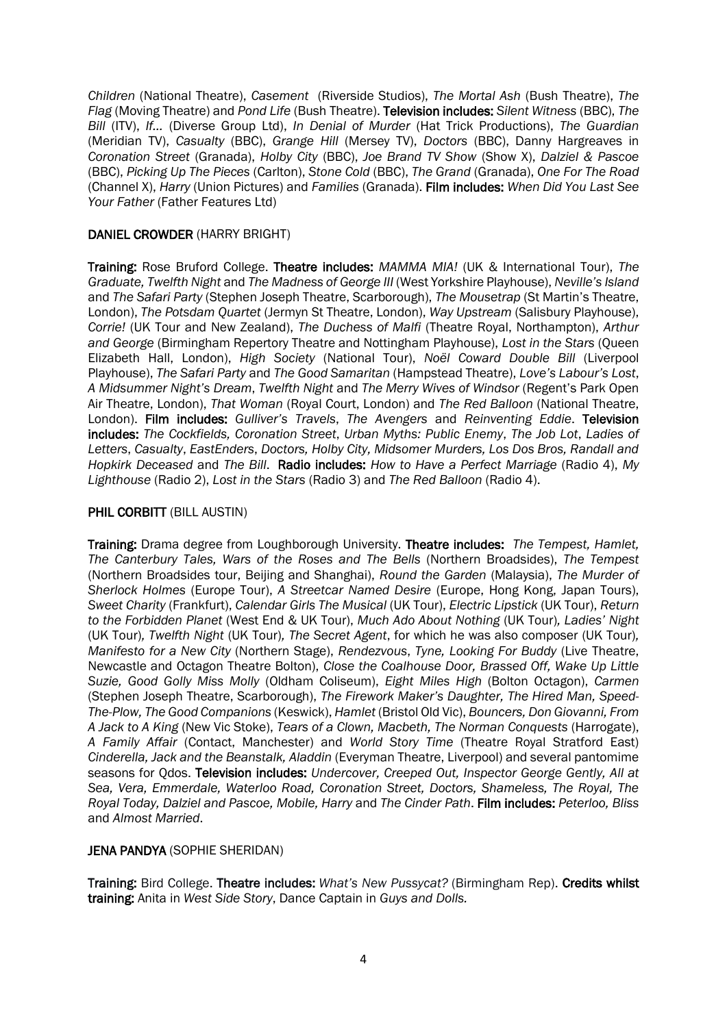*Children* (National Theatre), *Casement* (Riverside Studios), *The Mortal Ash* (Bush Theatre), *The Flag* (Moving Theatre) and *Pond Life* (Bush Theatre). Television includes: *Silent Witness* (BBC), *The Bill* (ITV), *If…* (Diverse Group Ltd), *In Denial of Murder* (Hat Trick Productions), *The Guardian*  (Meridian TV), *Casualty* (BBC), *Grange Hill* (Mersey TV), *Doctors* (BBC), Danny Hargreaves in *Coronation Street* (Granada), *Holby City* (BBC), *Joe Brand TV Show* (Show X), *Dalziel & Pascoe*  (BBC), *Picking Up The Pieces* (Carlton), *Stone Cold* (BBC), *The Grand* (Granada), *One For The Road*  (Channel X), *Harry* (Union Pictures) and *Families* (Granada). Film includes: *When Did You Last See Your Father* (Father Features Ltd)

## DANIEL CROWDER (HARRY BRIGHT)

Training: Rose Bruford College. Theatre includes: *MAMMA MIA!* (UK & International Tour), *The Graduate, Twelfth Night* and *The Madness of George III* (West Yorkshire Playhouse), *Neville's Island*  and *The Safari Party* (Stephen Joseph Theatre, Scarborough), *The Mousetrap* (St Martin's Theatre, London), *The Potsdam Quartet* (Jermyn St Theatre, London), *Way Upstream* (Salisbury Playhouse), *Corrie!* (UK Tour and New Zealand), *The Duchess of Malfi* (Theatre Royal, Northampton), *Arthur and George* (Birmingham Repertory Theatre and Nottingham Playhouse), *Lost in the Stars* (Queen Elizabeth Hall, London), *High Society* (National Tour), *Noël Coward Double Bill* (Liverpool Playhouse), *The Safari Party* and *The Good Samaritan* (Hampstead Theatre), *Love's Labour's Lost*, *A Midsummer Night's Dream*, *Twelfth Night* and *The Merry Wives of Windsor* (Regent's Park Open Air Theatre, London), *That Woman* (Royal Court, London) and *The Red Balloon* (National Theatre, London). Film includes: *Gulliver's Travels*, *The Avengers* and *Reinventing Eddie*. Television includes: *The Cockfields, Coronation Street*, *Urban Myths: Public Enemy*, *The Job Lot*, *Ladies of Letters*, *Casualty*, *EastEnders*, *Doctors, Holby City, Midsomer Murders, Los Dos Bros, Randall and Hopkirk Deceased* and *The Bill*. Radio includes: *How to Have a Perfect Marriage* (Radio 4), *My Lighthouse* (Radio 2), *Lost in the Stars* (Radio 3) and *The Red Balloon* (Radio 4).

#### PHIL CORBITT (BILL AUSTIN)

Training: Drama degree from Loughborough University. Theatre includes: *The Tempest, Hamlet, The Canterbury Tales, Wars of the Roses and The Bells* (Northern Broadsides), *The Tempest* (Northern Broadsides tour, Beijing and Shanghai), *Round the Garden* (Malaysia), *The Murder of Sherlock Holmes* (Europe Tour), *A Streetcar Named Desire* (Europe, Hong Kong, Japan Tours), *Sweet Charity* (Frankfurt), *Calendar Girls The Musical* (UK Tour), *Electric Lipstick* (UK Tour), *Return to the Forbidden Planet* (West End & UK Tour), *Much Ado About Nothing* (UK Tour)*, Ladies' Night*  (UK Tour)*, Twelfth Night* (UK Tour)*, The Secret Agent*, for which he was also composer (UK Tour)*, Manifesto for a New City* (Northern Stage), *Rendezvous*, *Tyne, Looking For Buddy* (Live Theatre, Newcastle and Octagon Theatre Bolton), *Close the Coalhouse Door, Brassed Off, Wake Up Little Suzie, Good Golly Miss Molly* (Oldham Coliseum), *Eight Miles High* (Bolton Octagon), *Carmen* (Stephen Joseph Theatre, Scarborough), *The Firework Maker's Daughter, The Hired Man, Speed-The-Plow, The Good Companions* (Keswick), *Hamlet* (Bristol Old Vic), *Bouncers, Don Giovanni, From A Jack to A King* (New Vic Stoke), *Tears of a Clown, Macbeth, The Norman Conquests* (Harrogate), *A Family Affair* (Contact, Manchester) and *World Story Time* (Theatre Royal Stratford East) *Cinderella, Jack and the Beanstalk, Aladdin* (Everyman Theatre, Liverpool) and several pantomime seasons for Qdos. Television includes: *Undercover, Creeped Out, Inspector George Gently, All at Sea, Vera, Emmerdale, Waterloo Road, Coronation Street, Doctors, Shameless, The Royal, The Royal Today, Dalziel and Pascoe, Mobile, Harry* and *The Cinder Path*. Film includes: *Peterloo, Bliss* and *Almost Married*.

#### JENA PANDYA (SOPHIE SHERIDAN)

Training: Bird College. Theatre includes: *What's New Pussycat?* (Birmingham Rep). Credits whilst training: Anita in *West Side Story*, Dance Captain in *Guys and Dolls.*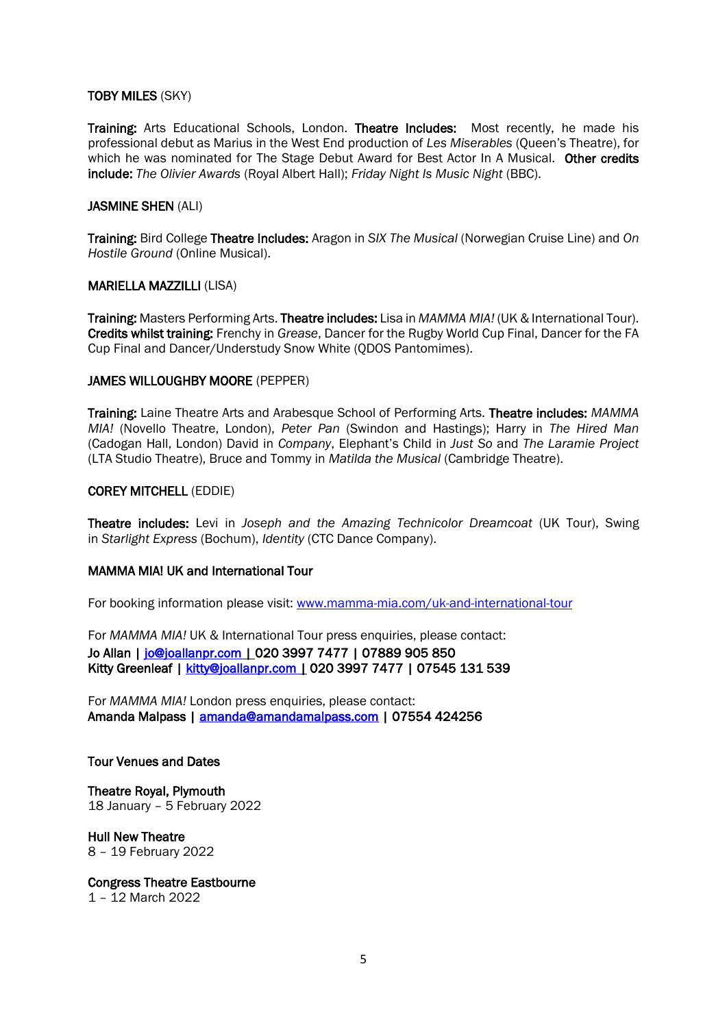#### TOBY MILES (SKY)

Training: Arts Educational Schools, London. Theatre Includes: Most recently, he made his professional debut as Marius in the West End production of *Les Miserables* (Queen's Theatre), for which he was nominated for The Stage Debut Award for Best Actor In A Musical. Other credits include: *The Olivier Awards* (Royal Albert Hall); *Friday Night Is Music Night* (BBC).

#### JASMINE SHEN (ALI)

Training: Bird College Theatre Includes: Aragon in *SIX The Musical* (Norwegian Cruise Line) and *On Hostile Ground* (Online Musical).

#### MARIELLA MAZZILLI (LISA)

Training: Masters Performing Arts. Theatre includes: Lisa in *MAMMA MIA!* (UK & International Tour). Credits whilst training: Frenchy in *Grease*, Dancer for the Rugby World Cup Final, Dancer for the FA Cup Final and Dancer/Understudy Snow White (QDOS Pantomimes).

#### JAMES WILLOUGHBY MOORE (PEPPER)

Training: Laine Theatre Arts and Arabesque School of Performing Arts. Theatre includes: *MAMMA MIA!* (Novello Theatre, London), *Peter Pan* (Swindon and Hastings); Harry in *The Hired Man* (Cadogan Hall, London) David in *Company*, Elephant's Child in *Just So* and *The Laramie Project* (LTA Studio Theatre), Bruce and Tommy in *Matilda the Musical* (Cambridge Theatre).

## COREY MITCHELL (EDDIE)

Theatre includes: Levi in *Joseph and the Amazing Technicolor Dreamcoat* (UK Tour), Swing in *Starlight Express* (Bochum), *Identity* (CTC Dance Company).

#### MAMMA MIA! UK and International Tour

For booking information please visit: [www.mamma-mia.com/uk-and-international-tour](http://www.mamma-mia.com/uk-and-international-tour)

For *MAMMA MIA!* UK & International Tour press enquiries, please contact: Jo Allan | [jo@joallanpr.com](about:blank) | 020 3997 7477| 07889 905 850 Kitty Greenleaf | [kitty@joallanpr.com](mailto:kitty@joallanpr.com) | 020 3997 7477| 07545 131 539

For *MAMMA MIA!* London press enquiries, please contact: Amanda Malpass | [amanda@amandamalpass.com](mailto:amanda@amandamalpass.com) | 07554 424256

#### Tour Venues and Dates

Theatre Royal, Plymouth 18 January – 5 February 2022

Hull New Theatre 8 – 19 February 2022

Congress Theatre Eastbourne

1 – 12 March 2022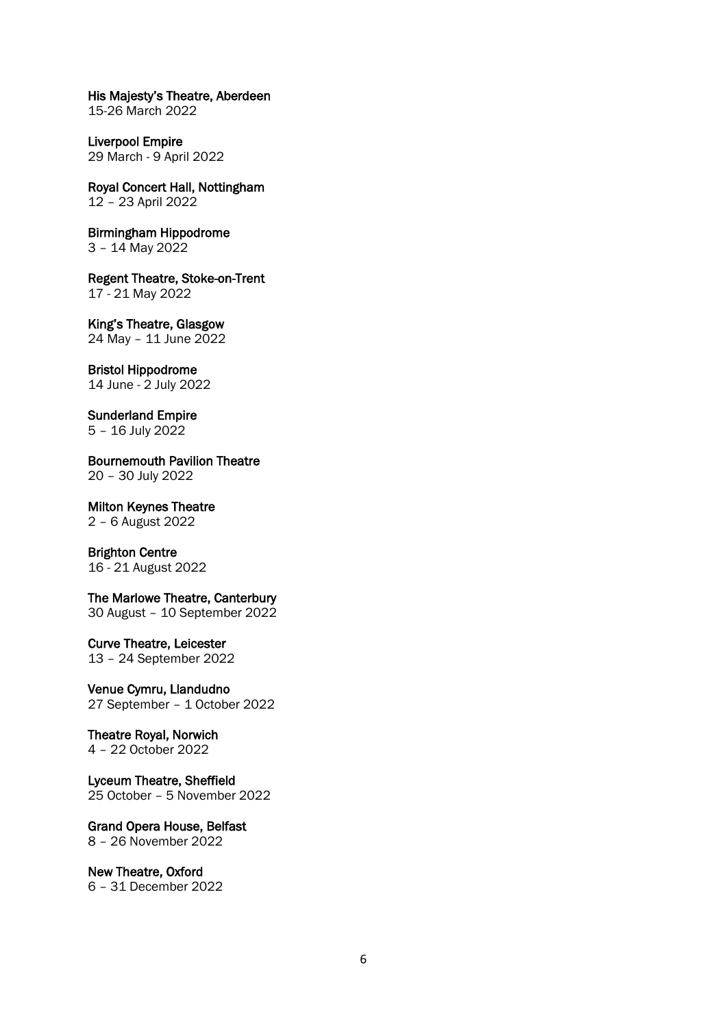His Majesty's Theatre, Aberdeen

15-26 March 2022

Liverpool Empire 29 March - 9 April 2022

Royal Concert Hall, Nottingham 12 – 23 April 2022

Birmingham Hippodrome 3 – 14 May 2022

Regent Theatre, Stoke-on-Trent 17 - 21 May 2022

King's Theatre, Glasgow 24 May – 11 June 2022

Bristol Hippodrome

14 June - 2 July 2022

Sunderland Empire 5 – 16 July 2022

Bournemouth Pavilion Theatre 20 – 30 July 2022

Milton Keynes Theatre 2 – 6 August 2022

# Brighton Centre

16 - 21 August 2022

#### The Marlowe Theatre, Canterbury

30 August – 10 September 2022

Curve Theatre, Leicester

13 – 24 September 2022

Venue Cymru, Llandudno 27 September – 1 October 2022

Theatre Royal, Norwich 4 – 22 October 2022

Lyceum Theatre, Sheffield 25 October – 5 November 2022

Grand Opera House, Belfast 8 – 26 November 2022

New Theatre, Oxford 6 – 31 December 2022